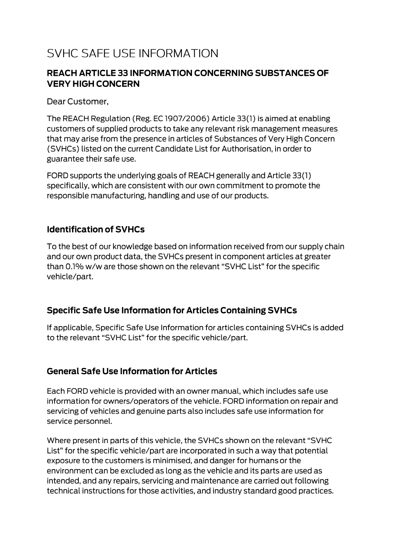# **SVHC SAFE USE INFORMATION**

#### **REACH ARTICLE 33 INFORMATION CONCERNING SUBSTANCES OF VERY HIGH CONCERN**

Dear Customer,

The REACH Regulation (Reg. EC 1907/2006) Article 33(1) is aimed at enabling customers of supplied products to take any relevant risk management measures that may arise from the presence in articles of Substances of Very High Concern (SVHCs) listed on the current Candidate List for Authorisation, in order to guarantee their safe use.

FORD supports the underlying goals of REACH generally and Article 33(1) specifically, which are consistent with our own commitment to promote the responsible manufacturing, handling and use of our products.

#### **Identification of SVHCs**

To the best of our knowledge based on information received from our supply chain and our own product data, the SVHCs present in component articles at greater than 0.1% w/w are those shown on the relevant "SVHC List" for the specific vehicle/part.

#### **Specific Safe Use Information for Articles Containing SVHCs**

If applicable, Specific Safe Use Information for articles containing SVHCs is added to the relevant "SVHC List" for the specific vehicle/part.

#### **General Safe Use Information for Articles**

Each FORD vehicle is provided with an owner manual, which includes safe use information for owners/operators of the vehicle. FORD information on repair and servicing of vehicles and genuine parts also includes safe use information for service personnel.

Where present in parts of this vehicle, the SVHCs shown on the relevant "SVHC List" for the specific vehicle/part are incorporated in such a way that potential exposure to the customers is minimised, and danger for humans or the environment can be excluded as long as the vehicle and its parts are used as intended, and any repairs, servicing and maintenance are carried out following technical instructions for those activities, and industry standard good practices.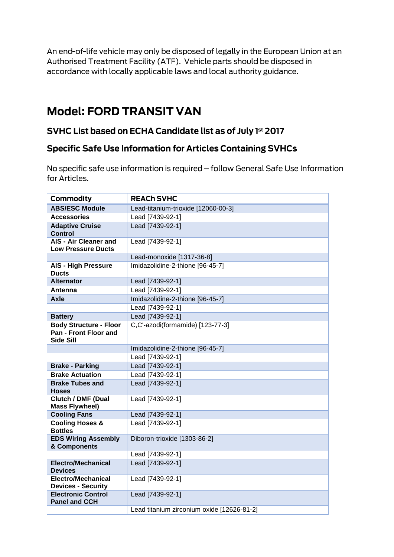An end-of-life vehicle may only be disposed of legally in the European Union at an Authorised Treatment Facility (ATF). Vehicle parts should be disposed in accordance with locally applicable laws and local authority guidance.

## **Model: FORD TRANSIT VAN**

### SVHC List based on ECHA Candidate list as of July 1st 2017

#### **Specific Safe Use Information for Articles Containing SVHCs**

No specific safe use information is required - follow General Safe Use Information for Articles.

| Commodity                                                                         | <b>REACH SVHC</b>                          |
|-----------------------------------------------------------------------------------|--------------------------------------------|
| <b>ABS/ESC Module</b>                                                             | Lead-titanium-trioxide [12060-00-3]        |
| <b>Accessories</b>                                                                | Lead [7439-92-1]                           |
| <b>Adaptive Cruise</b><br><b>Control</b>                                          | Lead [7439-92-1]                           |
| AIS - Air Cleaner and<br><b>Low Pressure Ducts</b>                                | Lead [7439-92-1]                           |
|                                                                                   | Lead-monoxide [1317-36-8]                  |
| <b>AIS - High Pressure</b><br><b>Ducts</b>                                        | Imidazolidine-2-thione [96-45-7]           |
| <b>Alternator</b>                                                                 | Lead [7439-92-1]                           |
| Antenna                                                                           | Lead [7439-92-1]                           |
| Axle                                                                              | Imidazolidine-2-thione [96-45-7]           |
|                                                                                   | Lead [7439-92-1]                           |
| <b>Battery</b>                                                                    | Lead [7439-92-1]                           |
| <b>Body Structure - Floor</b><br><b>Pan - Front Floor and</b><br><b>Side Sill</b> | C,C'-azodi(formamide) [123-77-3]           |
|                                                                                   | Imidazolidine-2-thione [96-45-7]           |
|                                                                                   | Lead [7439-92-1]                           |
| <b>Brake - Parking</b>                                                            | Lead [7439-92-1]                           |
| <b>Brake Actuation</b>                                                            | Lead [7439-92-1]                           |
| <b>Brake Tubes and</b><br><b>Hoses</b>                                            | Lead [7439-92-1]                           |
| <b>Clutch / DMF (Dual</b><br><b>Mass Flywheel)</b>                                | Lead [7439-92-1]                           |
| <b>Cooling Fans</b>                                                               | Lead [7439-92-1]                           |
| <b>Cooling Hoses &amp;</b><br><b>Bottles</b>                                      | Lead [7439-92-1]                           |
| <b>EDS Wiring Assembly</b><br>& Components                                        | Diboron-trioxide [1303-86-2]               |
|                                                                                   | Lead [7439-92-1]                           |
| <b>Electro/Mechanical</b><br><b>Devices</b>                                       | Lead [7439-92-1]                           |
| <b>Electro/Mechanical</b><br><b>Devices - Security</b>                            | Lead [7439-92-1]                           |
| <b>Electronic Control</b><br><b>Panel and CCH</b>                                 | Lead [7439-92-1]                           |
|                                                                                   | Lead titanium zirconium oxide [12626-81-2] |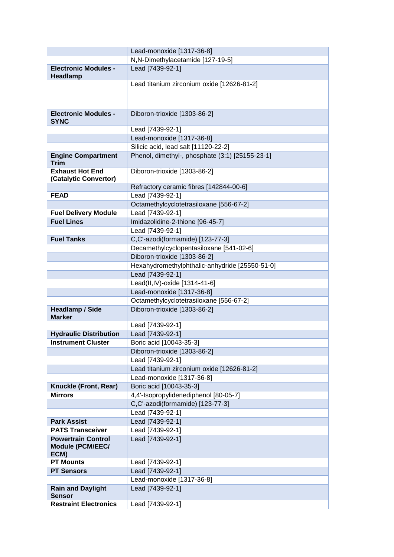|                                                       | Lead-monoxide [1317-36-8]                                                      |
|-------------------------------------------------------|--------------------------------------------------------------------------------|
|                                                       | N,N-Dimethylacetamide [127-19-5]                                               |
| <b>Electronic Modules -</b><br><b>Headlamp</b>        | Lead [7439-92-1]                                                               |
|                                                       | Lead titanium zirconium oxide [12626-81-2]                                     |
|                                                       |                                                                                |
| <b>Electronic Modules -</b><br><b>SYNC</b>            | Diboron-trioxide [1303-86-2]                                                   |
|                                                       | Lead [7439-92-1]                                                               |
|                                                       | Lead-monoxide [1317-36-8]                                                      |
|                                                       | Silicic acid, lead salt [11120-22-2]                                           |
| <b>Engine Compartment</b><br><b>Trim</b>              | Phenol, dimethyl-, phosphate (3:1) [25155-23-1]                                |
| <b>Exhaust Hot End</b><br>(Catalytic Convertor)       | Diboron-trioxide [1303-86-2]                                                   |
|                                                       | Refractory ceramic fibres [142844-00-6]                                        |
| <b>FEAD</b>                                           | Lead [7439-92-1]                                                               |
|                                                       | Octamethylcyclotetrasiloxane [556-67-2]                                        |
| <b>Fuel Delivery Module</b>                           | Lead [7439-92-1]                                                               |
| <b>Fuel Lines</b>                                     | Imidazolidine-2-thione [96-45-7]                                               |
|                                                       | Lead [7439-92-1]                                                               |
| <b>Fuel Tanks</b>                                     | C,C'-azodi(formamide) [123-77-3]                                               |
|                                                       | Decamethylcyclopentasiloxane [541-02-6]                                        |
|                                                       | Diboron-trioxide [1303-86-2]<br>Hexahydromethylphthalic-anhydride [25550-51-0] |
|                                                       | Lead [7439-92-1]                                                               |
|                                                       | Lead(II,IV)-oxide [1314-41-6]                                                  |
|                                                       | Lead-monoxide [1317-36-8]                                                      |
|                                                       | Octamethylcyclotetrasiloxane [556-67-2]                                        |
| <b>Headlamp / Side</b>                                | Diboron-trioxide [1303-86-2]                                                   |
| <b>Marker</b>                                         |                                                                                |
|                                                       | Lead [7439-92-1]                                                               |
| <b>Hydraulic Distribution</b>                         | Lead [7439-92-1]                                                               |
| <b>Instrument Cluster</b>                             | Boric acid [10043-35-3]                                                        |
|                                                       | Diboron-trioxide [1303-86-2]                                                   |
|                                                       | Lead [7439-92-1]                                                               |
|                                                       | Lead titanium zirconium oxide [12626-81-2]                                     |
|                                                       | Lead-monoxide [1317-36-8]                                                      |
| Knuckle (Front, Rear)                                 | Boric acid [10043-35-3]                                                        |
| <b>Mirrors</b>                                        | 4,4'-Isopropylidenediphenol [80-05-7]                                          |
|                                                       | C,C'-azodi(formamide) [123-77-3]                                               |
|                                                       | Lead [7439-92-1]                                                               |
| <b>Park Assist</b>                                    | Lead [7439-92-1]                                                               |
| <b>PATS Transceiver</b>                               | Lead [7439-92-1]                                                               |
| <b>Powertrain Control</b><br>Module (PCM/EEC/<br>ECM) | Lead [7439-92-1]                                                               |
| <b>PT Mounts</b>                                      | Lead [7439-92-1]                                                               |
| <b>PT Sensors</b>                                     | Lead [7439-92-1]                                                               |
|                                                       | Lead-monoxide [1317-36-8]                                                      |
| <b>Rain and Daylight</b><br>Sensor                    | Lead [7439-92-1]                                                               |
| <b>Restraint Electronics</b>                          | Lead [7439-92-1]                                                               |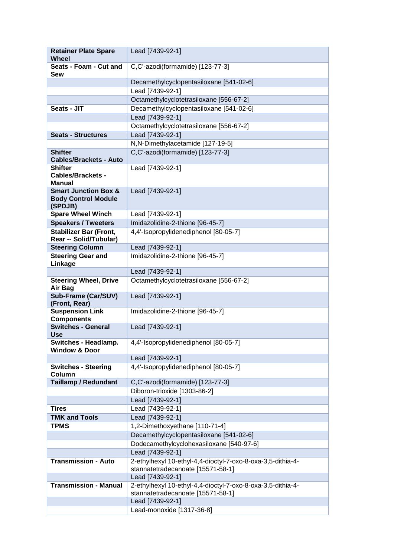| <b>Retainer Plate Spare</b><br><b>Wheel</b>                              | Lead [7439-92-1]                                                          |
|--------------------------------------------------------------------------|---------------------------------------------------------------------------|
| Seats - Foam - Cut and<br><b>Sew</b>                                     | C,C'-azodi(formamide) [123-77-3]                                          |
|                                                                          | Decamethylcyclopentasiloxane [541-02-6]                                   |
|                                                                          | Lead [7439-92-1]                                                          |
|                                                                          | Octamethylcyclotetrasiloxane [556-67-2]                                   |
| Seats - JIT                                                              | Decamethylcyclopentasiloxane [541-02-6]                                   |
|                                                                          | Lead [7439-92-1]                                                          |
|                                                                          | Octamethylcyclotetrasiloxane [556-67-2]                                   |
| <b>Seats - Structures</b>                                                | Lead [7439-92-1]                                                          |
|                                                                          | N,N-Dimethylacetamide [127-19-5]                                          |
| <b>Shifter</b><br><b>Cables/Brackets - Auto</b>                          | C,C'-azodi(formamide) [123-77-3]                                          |
| <b>Shifter</b><br><b>Cables/Brackets -</b><br><b>Manual</b>              | Lead [7439-92-1]                                                          |
| <b>Smart Junction Box &amp;</b><br><b>Body Control Module</b><br>(SPDJB) | Lead [7439-92-1]                                                          |
| <b>Spare Wheel Winch</b>                                                 | Lead [7439-92-1]                                                          |
| <b>Speakers / Tweeters</b>                                               | Imidazolidine-2-thione [96-45-7]                                          |
| <b>Stabilizer Bar (Front,</b><br>Rear -- Solid/Tubular)                  | 4,4'-Isopropylidenediphenol [80-05-7]                                     |
| <b>Steering Column</b>                                                   | Lead [7439-92-1]                                                          |
| <b>Steering Gear and</b><br>Linkage                                      | Imidazolidine-2-thione [96-45-7]                                          |
|                                                                          | Lead [7439-92-1]                                                          |
| <b>Steering Wheel, Drive</b><br>Air Bag                                  | Octamethylcyclotetrasiloxane [556-67-2]                                   |
| Sub-Frame (Car/SUV)<br>(Front, Rear)                                     | Lead [7439-92-1]                                                          |
| <b>Suspension Link</b><br><b>Components</b>                              | Imidazolidine-2-thione [96-45-7]                                          |
| <b>Switches - General</b><br>Use                                         | Lead [7439-92-1]                                                          |
| Switches - Headlamp.<br><b>Window &amp; Door</b>                         | 4,4'-Isopropylidenediphenol [80-05-7]                                     |
|                                                                          | Lead [7439-92-1]                                                          |
| <b>Switches - Steering</b><br>Column                                     | 4,4'-Isopropylidenediphenol [80-05-7]                                     |
| <b>Taillamp / Redundant</b>                                              | C,C'-azodi(formamide) [123-77-3]                                          |
|                                                                          | Diboron-trioxide [1303-86-2]                                              |
|                                                                          | Lead [7439-92-1]                                                          |
| <b>Tires</b><br><b>TMK and Tools</b>                                     | Lead [7439-92-1]                                                          |
|                                                                          | Lead [7439-92-1]                                                          |
| <b>TPMS</b>                                                              | 1,2-Dimethoxyethane [110-71-4]<br>Decamethylcyclopentasiloxane [541-02-6] |
|                                                                          | Dodecamethylcyclohexasiloxane [540-97-6]                                  |
|                                                                          | Lead [7439-92-1]                                                          |
| <b>Transmission - Auto</b>                                               | 2-ethylhexyl 10-ethyl-4,4-dioctyl-7-oxo-8-oxa-3,5-dithia-4-               |
|                                                                          | stannatetradecanoate [15571-58-1]<br>Lead [7439-92-1]                     |
| <b>Transmission - Manual</b>                                             | 2-ethylhexyl 10-ethyl-4,4-dioctyl-7-oxo-8-oxa-3,5-dithia-4-               |
|                                                                          | stannatetradecanoate [15571-58-1]                                         |
|                                                                          | Lead [7439-92-1]                                                          |
|                                                                          | Lead-monoxide [1317-36-8]                                                 |